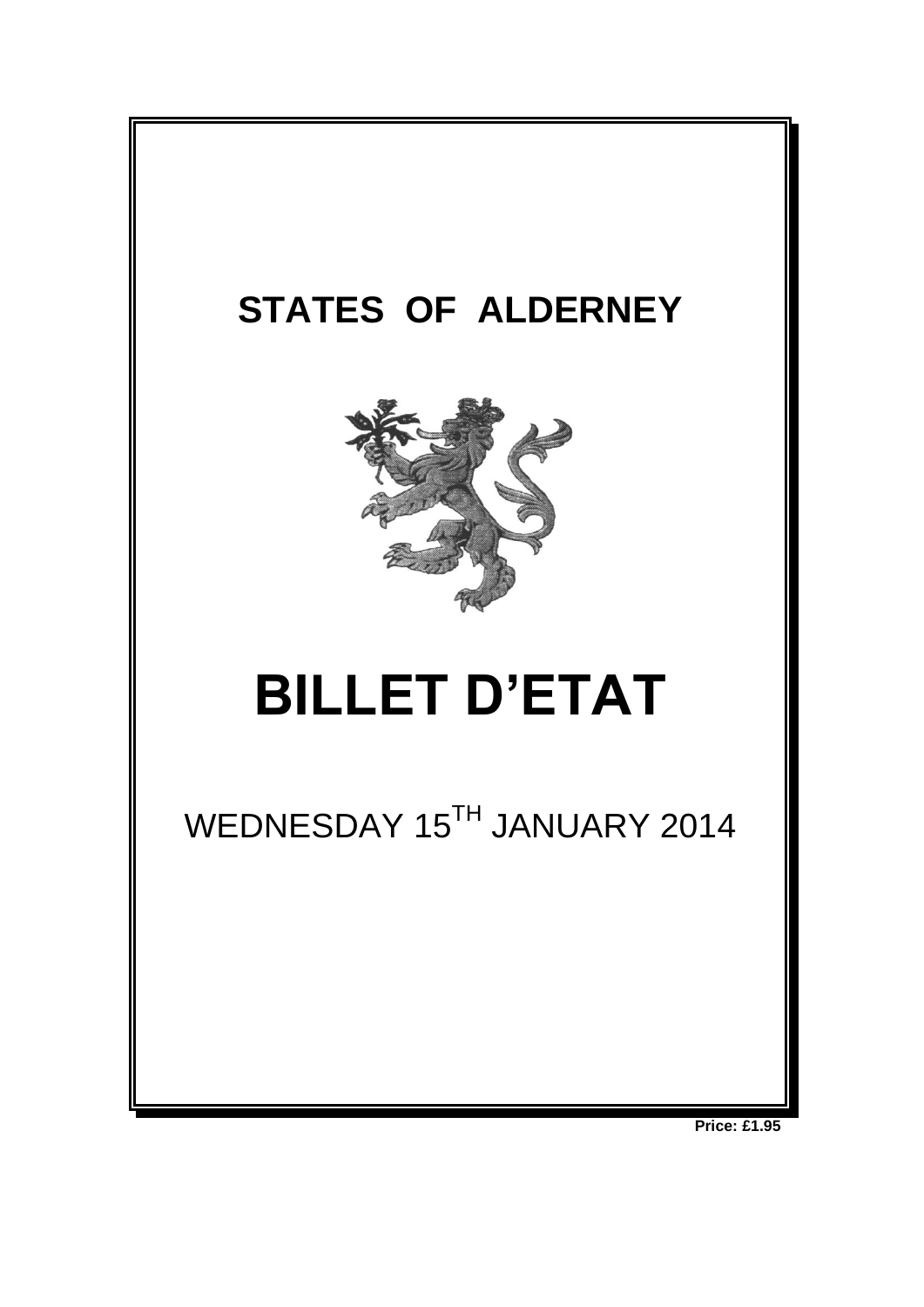

**Price: £1.95**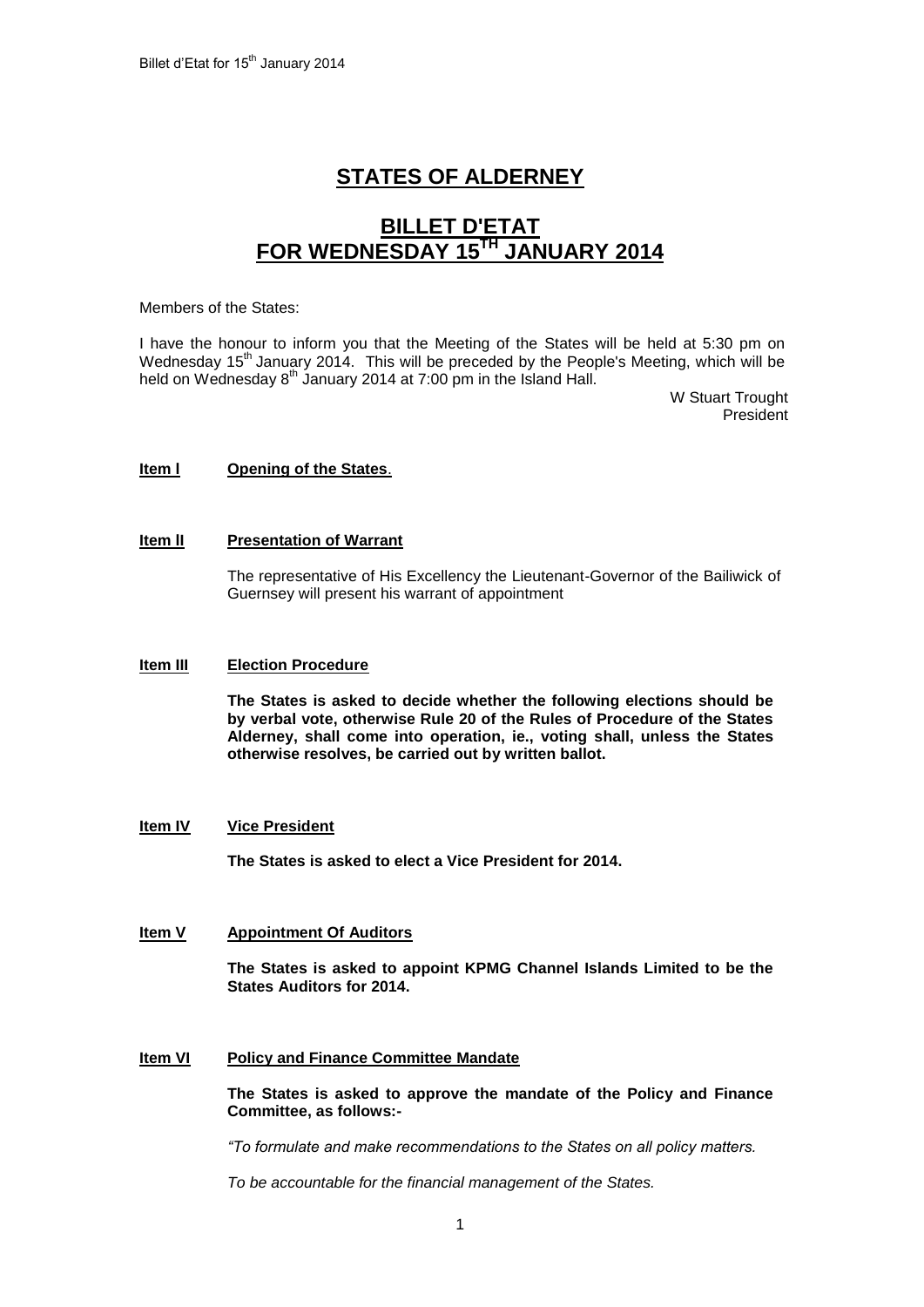# **STATES OF ALDERNEY**

## **BILLET D'ETAT FOR WEDNESDAY 15TH JANUARY 2014**

#### Members of the States:

I have the honour to inform you that the Meeting of the States will be held at 5:30 pm on Wednesday  $15<sup>th</sup>$  January 2014. This will be preceded by the People's Meeting, which will be held on Wednesday  $8<sup>th</sup>$  January 2014 at 7:00 pm in the Island Hall.

> W Stuart Trought President

## **Item l Opening of the States**.

## **Item II** Presentation of Warrant

The representative of His Excellency the Lieutenant-Governor of the Bailiwick of Guernsey will present his warrant of appointment

## **Item III Election Procedure**

**The States is asked to decide whether the following elections should be by verbal vote, otherwise Rule 20 of the Rules of Procedure of the States Alderney, shall come into operation, ie., voting shall, unless the States otherwise resolves, be carried out by written ballot.**

## **Item IV Vice President**

**The States is asked to elect a Vice President for 2014.**

## **Item V Appointment Of Auditors**

**The States is asked to appoint KPMG Channel Islands Limited to be the States Auditors for 2014.**

## **Item VI Policy and Finance Committee Mandate**

**The States is asked to approve the mandate of the Policy and Finance Committee, as follows:-**

*"To formulate and make recommendations to the States on all policy matters.*

*To be accountable for the financial management of the States.*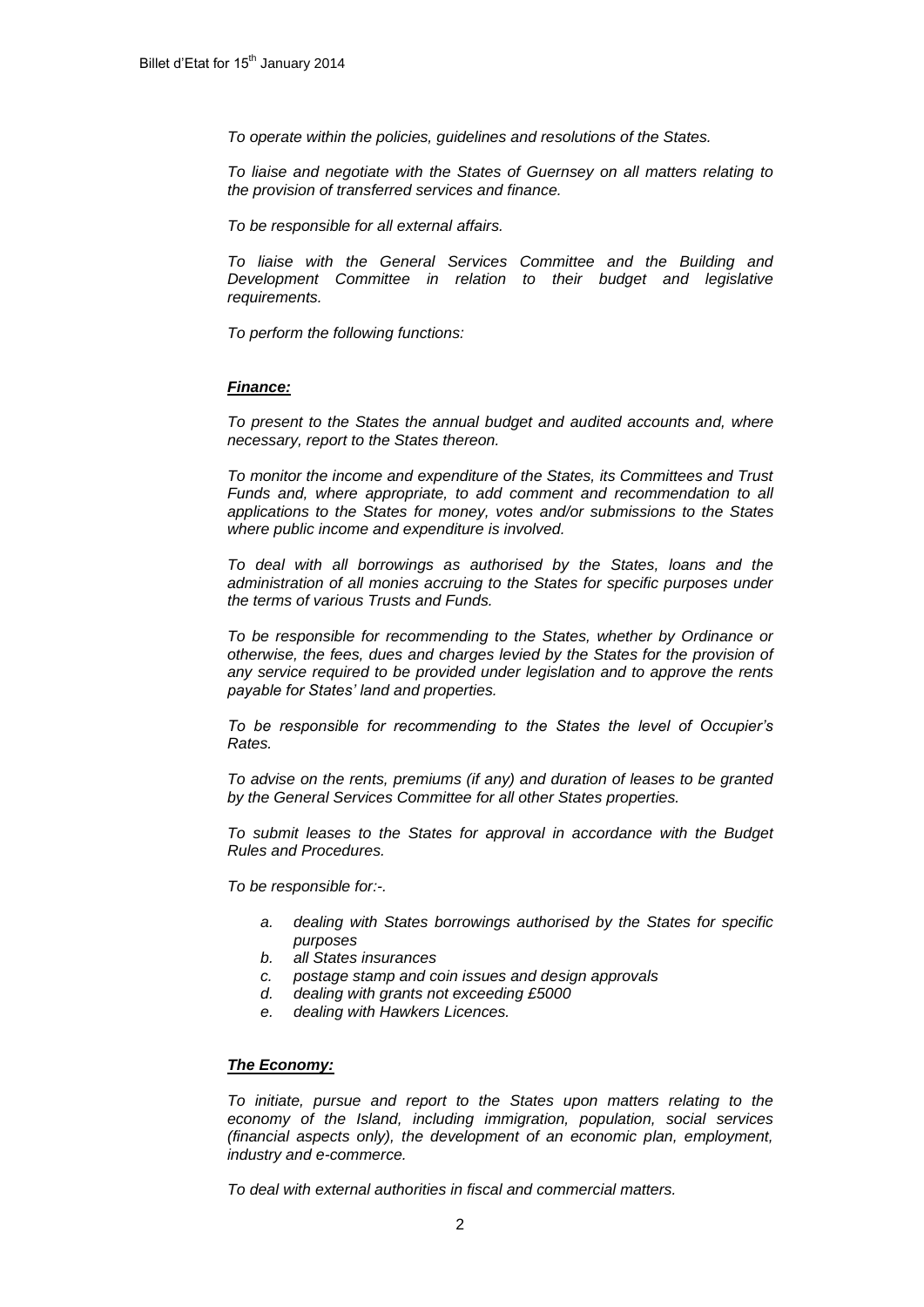*To operate within the policies, guidelines and resolutions of the States.*

*To liaise and negotiate with the States of Guernsey on all matters relating to the provision of transferred services and finance.*

*To be responsible for all external affairs.*

*To liaise with the General Services Committee and the Building and Development Committee in relation to their budget and legislative requirements.*

*To perform the following functions:*

#### *Finance:*

*To present to the States the annual budget and audited accounts and, where necessary, report to the States thereon.*

*To monitor the income and expenditure of the States, its Committees and Trust Funds and, where appropriate, to add comment and recommendation to all applications to the States for money, votes and/or submissions to the States where public income and expenditure is involved.*

*To deal with all borrowings as authorised by the States, loans and the*  administration of all monies accruing to the States for specific purposes under *the terms of various Trusts and Funds.*

*To be responsible for recommending to the States, whether by Ordinance or otherwise, the fees, dues and charges levied by the States for the provision of any service required to be provided under legislation and to approve the rents payable for States' land and properties.* 

*To be responsible for recommending to the States the level of Occupier's Rates.*

*To advise on the rents, premiums (if any) and duration of leases to be granted by the General Services Committee for all other States properties.*

*To submit leases to the States for approval in accordance with the Budget Rules and Procedures.*

*To be responsible for:-.*

- *a. dealing with States borrowings authorised by the States for specific purposes*
- *b. all States insurances*
- *c. postage stamp and coin issues and design approvals*
- *d. dealing with grants not exceeding £5000*
- *e. dealing with Hawkers Licences.*

#### *The Economy:*

*To initiate, pursue and report to the States upon matters relating to the economy of the Island, including immigration, population, social services (financial aspects only), the development of an economic plan, employment, industry and e-commerce.*

*To deal with external authorities in fiscal and commercial matters.*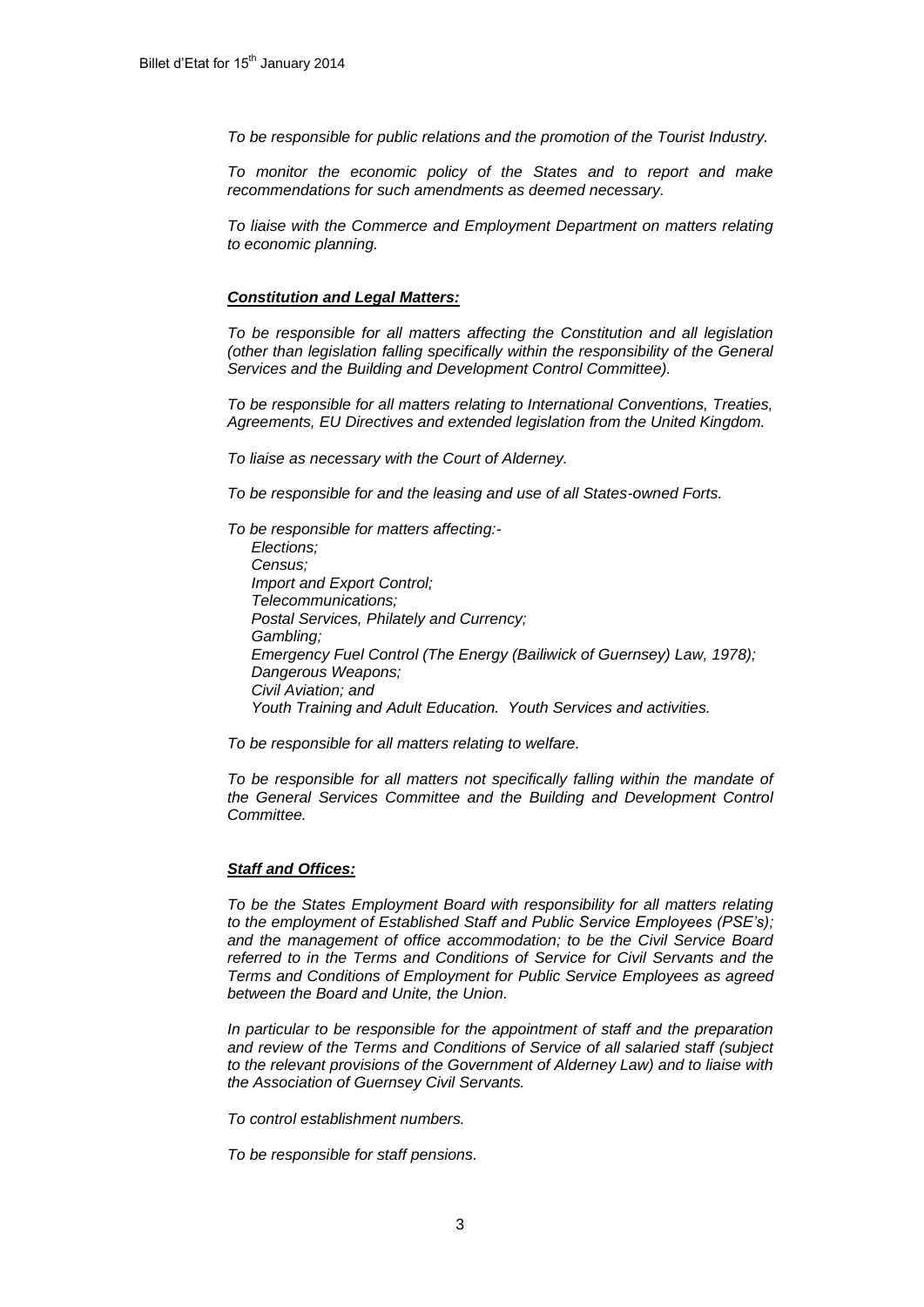*To be responsible for public relations and the promotion of the Tourist Industry.*

*To monitor the economic policy of the States and to report and make recommendations for such amendments as deemed necessary.*

*To liaise with the Commerce and Employment Department on matters relating to economic planning.*

#### *Constitution and Legal Matters:*

*To be responsible for all matters affecting the Constitution and all legislation (other than legislation falling specifically within the responsibility of the General Services and the Building and Development Control Committee).* 

*To be responsible for all matters relating to International Conventions, Treaties, Agreements, EU Directives and extended legislation from the United Kingdom.*

*To liaise as necessary with the Court of Alderney.*

*To be responsible for and the leasing and use of all States-owned Forts.*

*To be responsible for matters affecting:- Elections; Census; Import and Export Control; Telecommunications; Postal Services, Philately and Currency; Gambling; Emergency Fuel Control (The Energy (Bailiwick of Guernsey) Law, 1978); Dangerous Weapons; Civil Aviation; and Youth Training and Adult Education. Youth Services and activities.*

*To be responsible for all matters relating to welfare.*

*To be responsible for all matters not specifically falling within the mandate of the General Services Committee and the Building and Development Control Committee.*

#### *Staff and Offices:*

*To be the States Employment Board with responsibility for all matters relating to the employment of Established Staff and Public Service Employees (PSE's); and the management of office accommodation; to be the Civil Service Board referred to in the Terms and Conditions of Service for Civil Servants and the Terms and Conditions of Employment for Public Service Employees as agreed between the Board and Unite, the Union.* 

*In particular to be responsible for the appointment of staff and the preparation and review of the Terms and Conditions of Service of all salaried staff (subject to the relevant provisions of the Government of Alderney Law) and to liaise with the Association of Guernsey Civil Servants.*

*To control establishment numbers.*

*To be responsible for staff pensions.*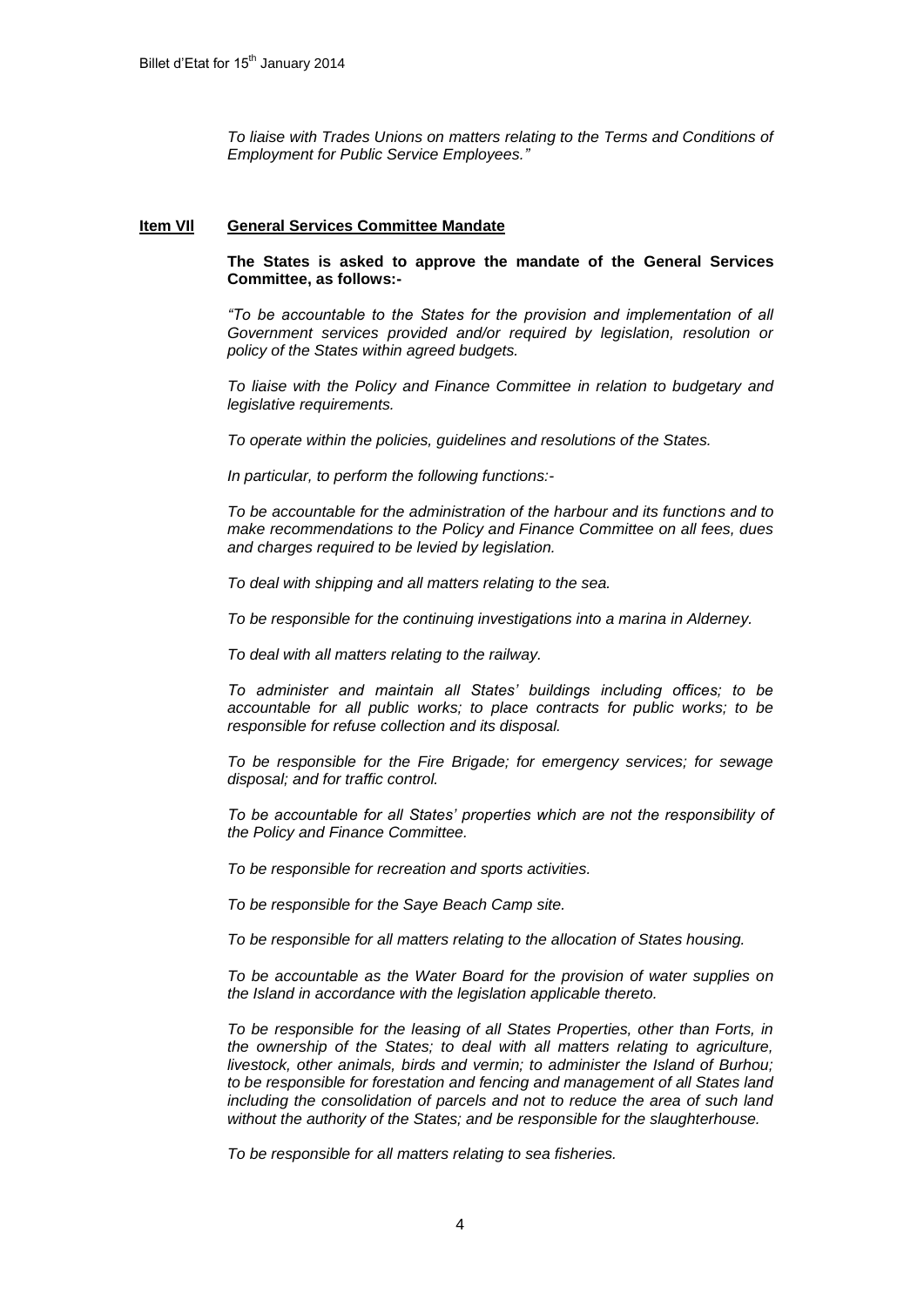*To liaise with Trades Unions on matters relating to the Terms and Conditions of Employment for Public Service Employees."*

#### **Item VIl General Services Committee Mandate**

**The States is asked to approve the mandate of the General Services Committee, as follows:-**

*"To be accountable to the States for the provision and implementation of all Government services provided and/or required by legislation, resolution or policy of the States within agreed budgets.*

*To liaise with the Policy and Finance Committee in relation to budgetary and legislative requirements.*

*To operate within the policies, guidelines and resolutions of the States.*

*In particular, to perform the following functions:-*

*To be accountable for the administration of the harbour and its functions and to make recommendations to the Policy and Finance Committee on all fees, dues and charges required to be levied by legislation.*

*To deal with shipping and all matters relating to the sea.*

*To be responsible for the continuing investigations into a marina in Alderney.*

*To deal with all matters relating to the railway.*

*To administer and maintain all States' buildings including offices; to be accountable for all public works; to place contracts for public works; to be responsible for refuse collection and its disposal.*

*To be responsible for the Fire Brigade; for emergency services; for sewage disposal; and for traffic control.*

*To be accountable for all States' properties which are not the responsibility of the Policy and Finance Committee.* 

*To be responsible for recreation and sports activities.* 

*To be responsible for the Saye Beach Camp site.*

*To be responsible for all matters relating to the allocation of States housing.*

*To be accountable as the Water Board for the provision of water supplies on the Island in accordance with the legislation applicable thereto.*

*To be responsible for the leasing of all States Properties, other than Forts, in the ownership of the States; to deal with all matters relating to agriculture, livestock, other animals, birds and vermin; to administer the Island of Burhou; to be responsible for forestation and fencing and management of all States land including the consolidation of parcels and not to reduce the area of such land without the authority of the States; and be responsible for the slaughterhouse.*

*To be responsible for all matters relating to sea fisheries.*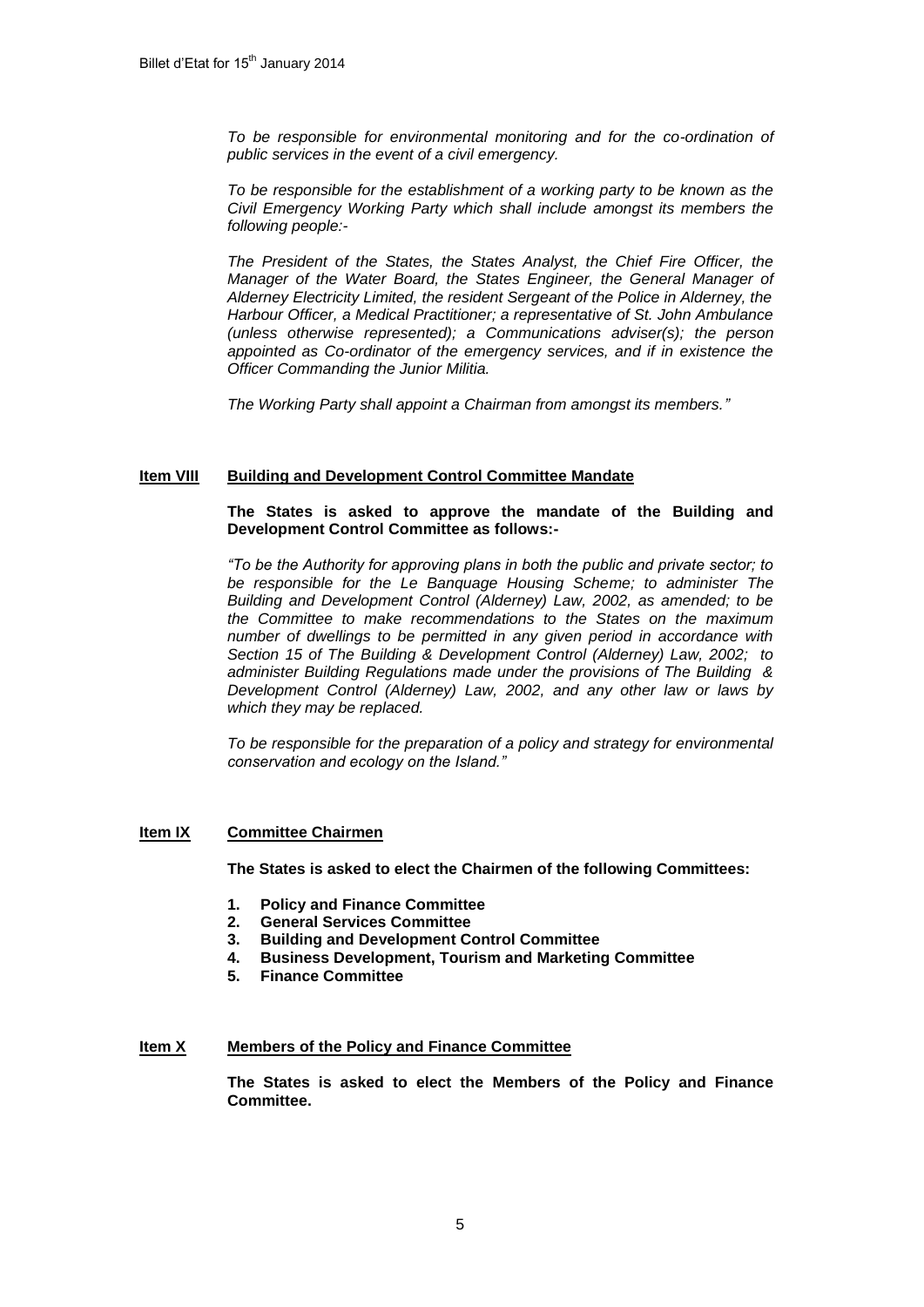*To be responsible for environmental monitoring and for the co-ordination of public services in the event of a civil emergency.* 

*To be responsible for the establishment of a working party to be known as the Civil Emergency Working Party which shall include amongst its members the following people:-*

*The President of the States, the States Analyst, the Chief Fire Officer, the Manager of the Water Board, the States Engineer, the General Manager of Alderney Electricity Limited, the resident Sergeant of the Police in Alderney, the Harbour Officer, a Medical Practitioner; a representative of St. John Ambulance (unless otherwise represented); a Communications adviser(s); the person appointed as Co-ordinator of the emergency services, and if in existence the Officer Commanding the Junior Militia.*

*The Working Party shall appoint a Chairman from amongst its members."*

## **Item VIII Building and Development Control Committee Mandate**

## **The States is asked to approve the mandate of the Building and Development Control Committee as follows:-**

*"To be the Authority for approving plans in both the public and private sector; to be responsible for the Le Banquage Housing Scheme; to administer The Building and Development Control (Alderney) Law, 2002, as amended; to be the Committee to make recommendations to the States on the maximum number of dwellings to be permitted in any given period in accordance with Section 15 of The Building & Development Control (Alderney) Law, 2002; to administer Building Regulations made under the provisions of The Building & Development Control (Alderney) Law, 2002, and any other law or laws by which they may be replaced.*

*To be responsible for the preparation of a policy and strategy for environmental conservation and ecology on the Island."*

## **Item IX Committee Chairmen**

**The States is asked to elect the Chairmen of the following Committees:**

- **1. Policy and Finance Committee**
- **2. General Services Committee**
- **3. Building and Development Control Committee**
- **4. Business Development, Tourism and Marketing Committee**
- **5. Finance Committee**

## **Item X Members of the Policy and Finance Committee**

**The States is asked to elect the Members of the Policy and Finance Committee.**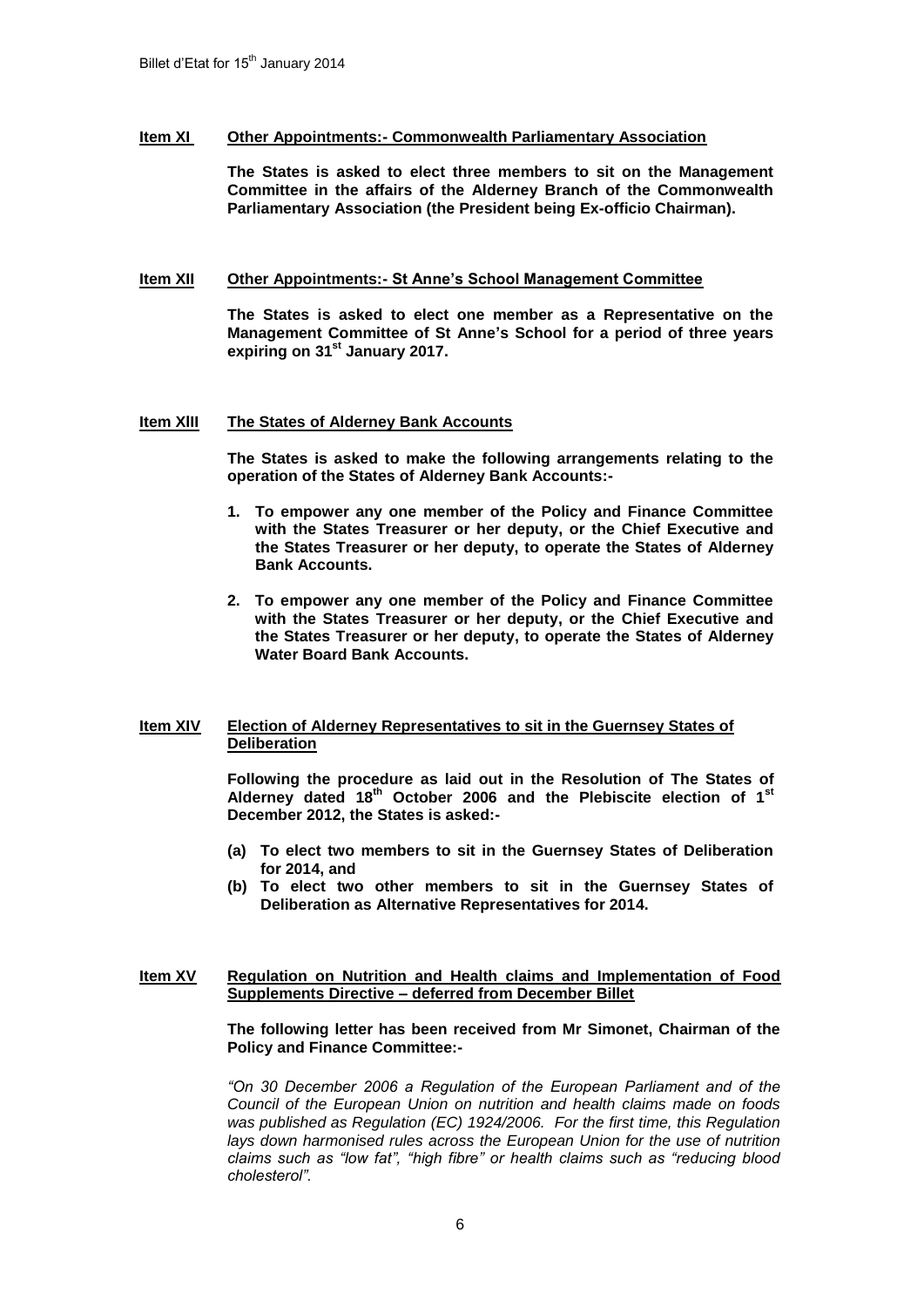## **Item XI Other Appointments:- Commonwealth Parliamentary Association**

**The States is asked to elect three members to sit on the Management Committee in the affairs of the Alderney Branch of the Commonwealth Parliamentary Association (the President being Ex-officio Chairman).**

## **Item XII Other Appointments:- St Anne's School Management Committee**

**The States is asked to elect one member as a Representative on the Management Committee of St Anne's School for a period of three years expiring on 31st January 2017.** 

## **Item XlII The States of Alderney Bank Accounts**

**The States is asked to make the following arrangements relating to the operation of the States of Alderney Bank Accounts:-**

- **1. To empower any one member of the Policy and Finance Committee with the States Treasurer or her deputy, or the Chief Executive and the States Treasurer or her deputy, to operate the States of Alderney Bank Accounts.**
- **2. To empower any one member of the Policy and Finance Committee with the States Treasurer or her deputy, or the Chief Executive and the States Treasurer or her deputy, to operate the States of Alderney Water Board Bank Accounts.**

## **Item XIV Election of Alderney Representatives to sit in the Guernsey States of Deliberation**

**Following the procedure as laid out in the Resolution of The States of Alderney dated 18th October 2006 and the Plebiscite election of 1st December 2012, the States is asked:-**

- **(a) To elect two members to sit in the Guernsey States of Deliberation for 2014, and**
- **(b) To elect two other members to sit in the Guernsey States of Deliberation as Alternative Representatives for 2014.**

## **Item XV Regulation on Nutrition and Health claims and Implementation of Food Supplements Directive – deferred from December Billet**

**The following letter has been received from Mr Simonet, Chairman of the Policy and Finance Committee:-**

*"On 30 December 2006 a Regulation of the European Parliament and of the Council of the European Union on nutrition and health claims made on foods was published as Regulation (EC) 1924/2006. For the first time, this Regulation lays down harmonised rules across the European Union for the use of nutrition claims such as "low fat", "high fibre" or health claims such as "reducing blood cholesterol".*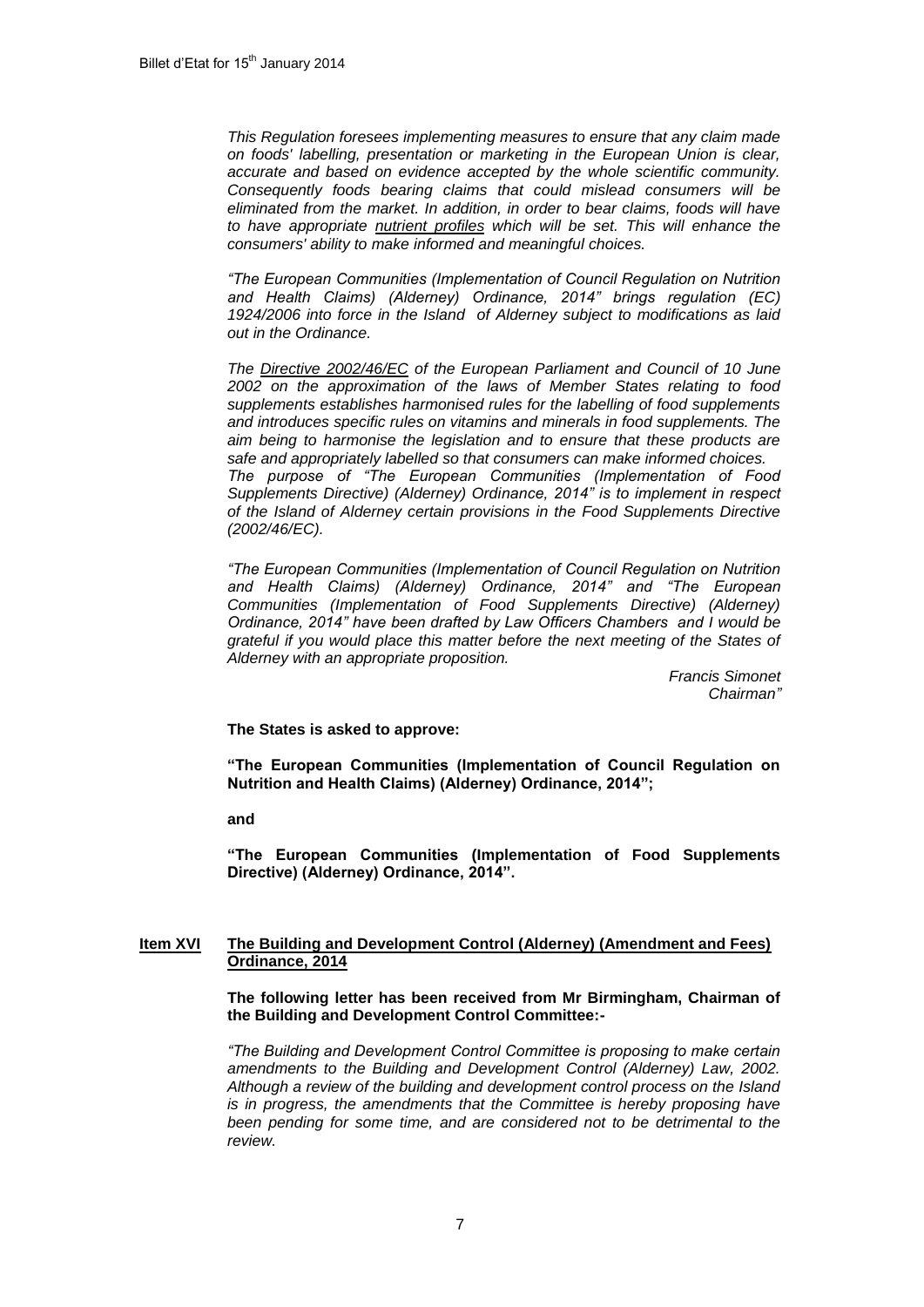*This Regulation foresees implementing measures to ensure that any claim made on foods' labelling, presentation or marketing in the European Union is clear, accurate and based on evidence accepted by the whole scientific community. Consequently foods bearing claims that could mislead consumers will be eliminated from the market. In addition, in order to bear claims, foods will have to have appropriate [nutrient profiles](http://ec.europa.eu/food/food/labellingnutrition/claims/nut_profiles_en.htm) which will be set. This will enhance the consumers' ability to make informed and meaningful choices.*

*"The European Communities (Implementation of Council Regulation on Nutrition and Health Claims) (Alderney) Ordinance, 2014" brings regulation (EC) 1924/2006 into force in the Island of Alderney subject to modifications as laid out in the Ordinance.*

*The [Directive 2002/46/EC](http://eur-lex.europa.eu/LexUriServ/LexUriServ.do?uri=CELEX:32002L0046:EN:NOT) of the European Parliament and Council of 10 June 2002 on the approximation of the laws of Member States relating to food supplements establishes harmonised rules for the labelling of food supplements and introduces specific rules on vitamins and minerals in food supplements. The aim being to harmonise the legislation and to ensure that these products are safe and appropriately labelled so that consumers can make informed choices. The purpose of "The European Communities (Implementation of Food Supplements Directive) (Alderney) Ordinance, 2014" is to implement in respect of the Island of Alderney certain provisions in the Food Supplements Directive (2002/46/EC).*

*"The European Communities (Implementation of Council Regulation on Nutrition and Health Claims) (Alderney) Ordinance, 2014" and "The European Communities (Implementation of Food Supplements Directive) (Alderney) Ordinance, 2014" have been drafted by Law Officers Chambers and I would be grateful if you would place this matter before the next meeting of the States of Alderney with an appropriate proposition.*

> *Francis Simonet Chairman"*

**The States is asked to approve:**

**"The European Communities (Implementation of Council Regulation on Nutrition and Health Claims) (Alderney) Ordinance, 2014";** 

**and**

**"The European Communities (Implementation of Food Supplements Directive) (Alderney) Ordinance, 2014".**

## **Item XVI The Building and Development Control (Alderney) (Amendment and Fees) Ordinance, 2014**

**The following letter has been received from Mr Birmingham, Chairman of the Building and Development Control Committee:-**

*"The Building and Development Control Committee is proposing to make certain*  amendments to the Building and Development Control (Alderney) Law, 2002. *Although a review of the building and development control process on the Island is in progress, the amendments that the Committee is hereby proposing have*  been pending for some time, and are considered not to be detrimental to the *review.*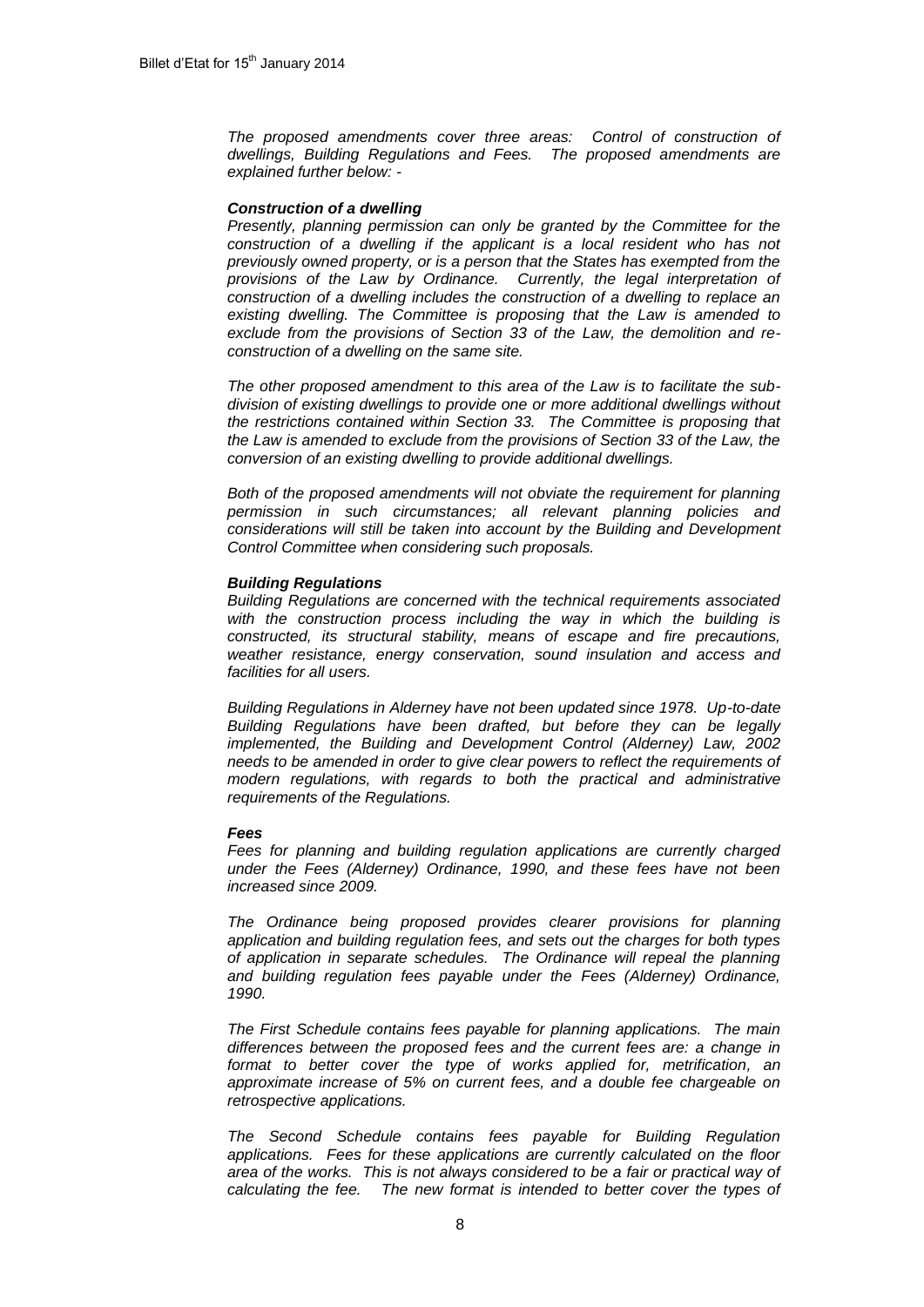*The proposed amendments cover three areas: Control of construction of dwellings, Building Regulations and Fees. The proposed amendments are explained further below: -*

#### *Construction of a dwelling*

*Presently, planning permission can only be granted by the Committee for the*  construction of a dwelling if the applicant is a local resident who has not *previously owned property, or is a person that the States has exempted from the provisions of the Law by Ordinance. Currently, the legal interpretation of construction of a dwelling includes the construction of a dwelling to replace an existing dwelling. The Committee is proposing that the Law is amended to exclude from the provisions of Section 33 of the Law, the demolition and reconstruction of a dwelling on the same site.*

*The other proposed amendment to this area of the Law is to facilitate the subdivision of existing dwellings to provide one or more additional dwellings without the restrictions contained within Section 33. The Committee is proposing that the Law is amended to exclude from the provisions of Section 33 of the Law, the conversion of an existing dwelling to provide additional dwellings.* 

*Both of the proposed amendments will not obviate the requirement for planning permission in such circumstances; all relevant planning policies and considerations will still be taken into account by the Building and Development Control Committee when considering such proposals.* 

#### *Building Regulations*

*Building Regulations are concerned with the technical requirements associated with the construction process including the way in which the building is constructed, its structural stability, means of escape and fire precautions, weather resistance, energy conservation, sound insulation and access and facilities for all users.*

*Building Regulations in Alderney have not been updated since 1978. Up-to-date Building Regulations have been drafted, but before they can be legally implemented, the Building and Development Control (Alderney) Law, 2002 needs to be amended in order to give clear powers to reflect the requirements of modern regulations, with regards to both the practical and administrative requirements of the Regulations.* 

#### *Fees*

*Fees for planning and building regulation applications are currently charged under the Fees (Alderney) Ordinance, 1990, and these fees have not been increased since 2009.* 

*The Ordinance being proposed provides clearer provisions for planning application and building regulation fees, and sets out the charges for both types of application in separate schedules. The Ordinance will repeal the planning and building regulation fees payable under the Fees (Alderney) Ordinance, 1990.*

*The First Schedule contains fees payable for planning applications. The main differences between the proposed fees and the current fees are: a change in format to better cover the type of works applied for, metrification, an approximate increase of 5% on current fees, and a double fee chargeable on retrospective applications.*

*The Second Schedule contains fees payable for Building Regulation applications. Fees for these applications are currently calculated on the floor area of the works. This is not always considered to be a fair or practical way of calculating the fee. The new format is intended to better cover the types of*